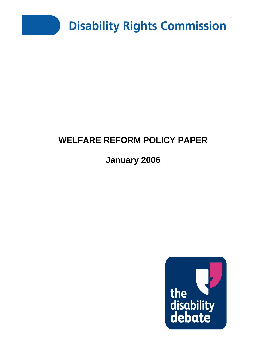

# **WELFARE REFORM POLICY PAPER**

# **January 2006**

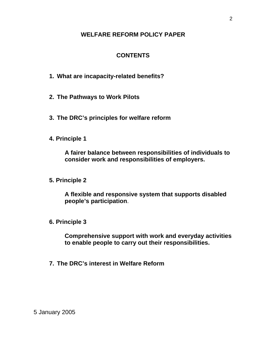#### **WELFARE REFORM POLICY PAPER**

## **CONTENTS**

- **1. What are incapacity-related benefits?**
- **2. The Pathways to Work Pilots**
- **3. The DRC's principles for welfare reform**
- **4. Principle 1**

**A fairer balance between responsibilities of individuals to consider work and responsibilities of employers.**

**5. Principle 2** 

**A flexible and responsive system that supports disabled people's participation**.

**6. Principle 3** 

**Comprehensive support with work and everyday activities to enable people to carry out their responsibilities.** 

**7. The DRC's interest in Welfare Reform** 

2

5 January 2005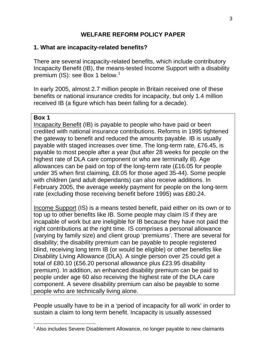## **WELFARE REFORM POLICY PAPER**

#### **1. What are incapacity-related benefits?**

There are several incapacity-related benefits, which include contributory Incapacity Benefit (IB), the means-tested Income Support with a disability premium (IS): see Box [1](#page-2-0) below.<sup>1</sup>

In early 2005, almost 2.7 million people in Britain received one of these benefits or national insurance credits for incapacity, but only 1.4 million received IB (a figure which has been falling for a decade).

#### **Box 1**

Incapacity Benefit (IB) is payable to people who have paid or been credited with national insurance contributions. Reforms in 1995 tightened the gateway to benefit and reduced the amounts payable. IB is usually payable with staged increases over time. The long-term rate, £76.45, is payable to most people after a year (but after 28 weeks for people on the highest rate of DLA care component or who are terminally ill). Age allowances can be paid on top of the long-term rate (£16.05 for people under 35 when first claiming, £8.05 for those aged 35-44). Some people with children (and adult dependants) can also receive additions. In February 2005, the average weekly payment for people on the long-term rate (excluding those receiving benefit before 1995) was £80.24.

Income Support (IS) is a means tested benefit, paid either on its own or to top up to other benefits like IB. Some people may claim IS if they are incapable of work but are ineligible for IB because they have not paid the right contributions at the right time. IS comprises a personal allowance (varying by family size) and client group 'premiums'. There are several for disability; the disability premium can be payable to people registered blind, receiving long term IB (or would be eligible) or other benefits like Disability Living Allowance (DLA). A single person over 25 could get a total of £80.10 (£56.20 personal allowance plus £23.95 disability premium). In addition, an enhanced disability premium can be paid to people under age 60 also receiving the highest rate of the DLA care component. A severe disability premium can also be payable to some people who are technically living alone.

People usually have to be in a 'period of incapacity for all work' in order to sustain a claim to long term benefit. Incapacity is usually assessed

<span id="page-2-0"></span><sup>1</sup> <sup>1</sup> Also includes Severe Disablement Allowance, no longer payable to new claimants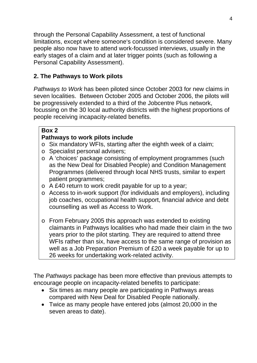through the Personal Capability Assessment, a test of functional limitations, except where someone's condition is considered severe. Many people also now have to attend work-focussed interviews, usually in the early stages of a claim and at later trigger points (such as following a Personal Capability Assessment).

# **2. The Pathways to Work pilots**

*Pathways to Work* has been piloted since October 2003 for new claims in seven localities. Between October 2005 and October 2006, the pilots will be progressively extended to a third of the Jobcentre Plus network, focussing on the 30 local authority districts with the highest proportions of people receiving incapacity-related benefits.

## **Box 2**

## **Pathways to work pilots include**

- o Six mandatory WFIs, starting after the eighth week of a claim;
- o Specialist personal advisers;
- o A 'choices' package consisting of employment programmes (such as the New Deal for Disabled People) and Condition Management Programmes (delivered through local NHS trusts, similar to expert patient programmes;
- o A £40 return to work credit payable for up to a year;
- o Access to in-work support (for individuals and employers), including job coaches, occupational health support, financial advice and debt counselling as well as Access to Work.
- o From February 2005 this approach was extended to existing claimants in Pathways localities who had made their claim in the two years prior to the pilot starting. They are required to attend three WFIs rather than six, have access to the same range of provision as well as a Job Preparation Premium of £20 a week payable for up to 26 weeks for undertaking work-related activity.

The *Pathways* package has been more effective than previous attempts to encourage people on incapacity-related benefits to participate:

- Six times as many people are participating in Pathways areas compared with New Deal for Disabled People nationally.
- Twice as many people have entered jobs (almost 20,000 in the seven areas to date).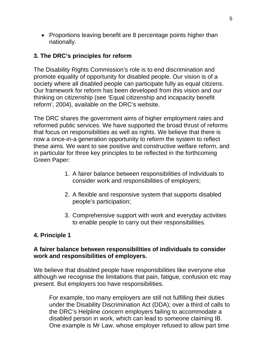• Proportions leaving benefit are 8 percentage points higher than nationally.

#### **3. The DRC's principles for reform**

The Disability Rights Commission's role is to end discrimination and promote equality of opportunity for disabled people. Our vision is of a society where all disabled people can participate fully as equal citizens. Our framework for reform has been developed from this vision and our thinking on citizenship (see 'Equal citizenship and incapacity benefit reform', 2004), available on the DRC's website.

The DRC shares the government aims of higher employment rates and reformed public services. We have supported the broad thrust of reforms that focus on responsibilities as well as rights. We believe that there is now a once-in-a generation opportunity to reform the system to reflect these aims. We want to see positive and constructive welfare reform, and in particular for three key principles to be reflected in the forthcoming Green Paper:

- 1. A fairer balance between responsibilities of individuals to consider work and responsibilities of employers;
- 2. A flexible and responsive system that supports disabled people's participation;
- 3. Comprehensive support with work and everyday activities to enable people to carry out their responsibilities.

## **4. Principle 1**

#### **A fairer balance between responsibilities of individuals to consider work and responsibilities of employers.**

We believe that disabled people have responsibilities like everyone else although we recognise the limitations that pain, fatigue, confusion etc may present. But employers too have responsibilities.

For example, too many employers are still not fulfilling their duties under the Disability Discrimination Act (DDA); over a third of calls to the DRC's Helpline concern employers failing to accommodate a disabled person in work, which can lead to someone claiming IB. One example is Mr Law, whose employer refused to allow part time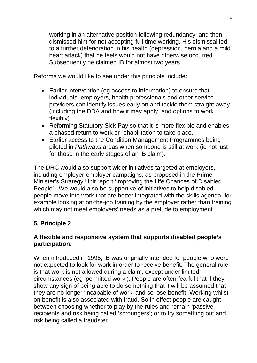working in an alternative position following redundancy, and then dismissed him for not accepting full time working. His dismissal led to a further deterioration in his health (depression, hernia and a mild heart attack) that he feels would not have otherwise occurred. Subsequently he claimed IB for almost two years.

Reforms we would like to see under this principle include:

- Earlier intervention (eg access to information) to ensure that individuals, employers, health professionals and other service providers can identify issues early on and tackle them straight away (including the DDA and how it may apply, and options to work flexibly).
- Reforming Statutory Sick Pay so that it is more flexible and enables a phased return to work or rehabilitation to take place.
- Earlier access to the Condition Management Programmes being piloted in *Pathways* areas when someone is still at work (ie not just for those in the early stages of an IB claim).

The DRC would also support wider initiatives targeted at employers, including employer-employer campaigns, as proposed in the Prime Minister's Strategy Unit report 'Improving the Life Chances of Disabled People'. We would also be supportive of initiatives to help disabled people move into work that are better integrated with the skills agenda, for example looking at on-the-job training by the employer rather than training which may not meet employers' needs as a prelude to employment.

# **5. Principle 2**

## **A flexible and responsive system that supports disabled people's participation**.

When introduced in 1995, IB was originally intended for people who were not expected to look for work in order to receive benefit. The general rule is that work is not allowed during a claim, except under limited circumstances (eg 'permitted work'). People are often fearful that if they show any sign of being able to do something that it will be assumed that they are no longer 'incapable of work' and so lose benefit. Working whilst on benefit is also associated with fraud. So in effect people are caught between choosing whether to play by the rules and remain 'passive' recipients and risk being called 'scroungers'; or to try something out and risk being called a fraudster.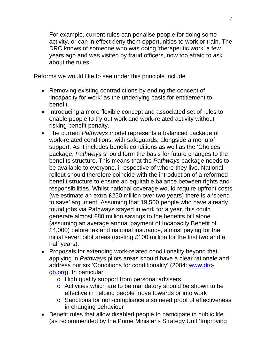For example, current rules can penalise people for doing some activity, or can in effect deny them opportunities to work or train. The DRC knows of someone who was doing 'therapeutic work' a few years ago and was visited by fraud officers, now too afraid to ask about the rules.

Reforms we would like to see under this principle include

- Removing existing contradictions by ending the concept of 'incapacity for work' as the underlying basis for entitlement to benefit.
- Introducing a more flexible concept and associated set of rules to enable people to try out work and work-related activity without risking benefit penalty.
- The current *Pathways* model represents a balanced package of work-related conditions, with safeguards, alongside a menu of support. As it includes benefit conditions as well as the 'Choices' package, *Pathways* should form the basis for future changes to the benefits structure. This means that the *Pathways* package needs to be available to everyone, irrespective of where they live. National rollout should therefore coincide with the introduction of a reformed benefit structure to ensure an equitable balance between rights and responsibilities. Whilst national coverage would require upfront costs (we estimate an extra £250 million over two years) there is a 'spend to save' argument. Assuming that 19,500 people who have already found jobs via Pathways stayed in work for a year, this could generate almost £80 million savings to the benefits bill alone (assuming an average annual payment of Incapacity Benefit of £4,000) before tax and national insurance, almost paying for the initial seven pilot areas (costing £100 million for the first two and a half years).
- Proposals for extending work-related conditionality beyond that applying in *Pathways* pilots areas should have a clear rationale and address our six 'Conditions for conditionality' (2004: [www.drc](http://www.drc-gb.org/)[gb.org\)](http://www.drc-gb.org/). In particular
	- o High quality support from personal advisers
	- o Activities which are to be mandatory should be shown to be effective in helping people move towards or into work
	- o Sanctions for non-compliance also need proof of effectiveness in changing behaviour
- Benefit rules that allow disabled people to participate in public life (as recommended by the Prime Minister's Strategy Unit 'Improving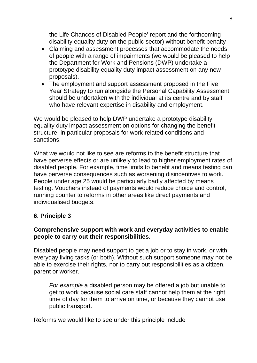the Life Chances of Disabled People' report and the forthcoming disability equality duty on the public sector) without benefit penalty

- Claiming and assessment processes that accommodate the needs of people with a range of impairments (we would be pleased to help the Department for Work and Pensions (DWP) undertake a prototype disability equality duty impact assessment on any new proposals).
- The employment and support assessment proposed in the Five Year Strategy to run alongside the Personal Capability Assessment should be undertaken with the individual at its centre and by staff who have relevant expertise in disability and employment.

We would be pleased to help DWP undertake a prototype disability equality duty impact assessment on options for changing the benefit structure, in particular proposals for work-related conditions and sanctions.

What we would not like to see are reforms to the benefit structure that have perverse effects or are unlikely to lead to higher employment rates of disabled people. For example, time limits to benefit and means testing can have perverse consequences such as worsening disincentives to work. People under age 25 would be particularly badly affected by means testing. Vouchers instead of payments would reduce choice and control, running counter to reforms in other areas like direct payments and individualised budgets.

#### **6. Principle 3**

#### **Comprehensive support with work and everyday activities to enable people to carry out their responsibilities.**

Disabled people may need support to get a job or to stay in work, or with everyday living tasks (or both). Without such support someone may not be able to exercise their rights, nor to carry out responsibilities as a citizen, parent or worker.

*For example* a disabled person may be offered a job but unable to get to work because social care staff cannot help them at the right time of day for them to arrive on time, or because they cannot use public transport.

Reforms we would like to see under this principle include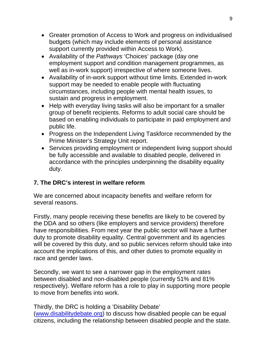- Greater promotion of Access to Work and progress on individualised budgets (which may include elements of personal assistance support currently provided within Access to Work).
- Availability of the *Pathways* 'Choices' package (day one employment support and condition management programmes, as well as in-work support) irrespective of where someone lives.
- Availability of in-work support without time limits. Extended in-work support may be needed to enable people with fluctuating circumstances, including people with mental health issues, to sustain and progress in employment.
- Help with everyday living tasks will also be important for a smaller group of benefit recipients. Reforms to adult social care should be based on enabling individuals to participate in paid employment and public life.
- Progress on the Independent Living Taskforce recommended by the Prime Minister's Strategy Unit report.
- Services providing employment or independent living support should be fully accessible and available to disabled people, delivered in accordance with the principles underpinning the disability equality duty.

# **7. The DRC's interest in welfare reform**

We are concerned about incapacity benefits and welfare reform for several reasons.

Firstly, many people receiving these benefits are likely to be covered by the DDA and so others (like employers and service providers) therefore have responsibilities. From next year the public sector will have a further duty to promote disability equality. Central government and its agencies will be covered by this duty, and so public services reform should take into account the implications of this, and other duties to promote equality in race and gender laws.

Secondly, we want to see a narrower gap in the employment rates between disabled and non-disabled people (currently 51% and 81% respectively). Welfare reform has a role to play in supporting more people to move from benefits into work.

Thirdly, the DRC is holding a 'Disability Debate'

([www.disabilitydebate.org](http://www.disabilitydebate.org/)) to discuss how disabled people can be equal citizens, including the relationship between disabled people and the state.